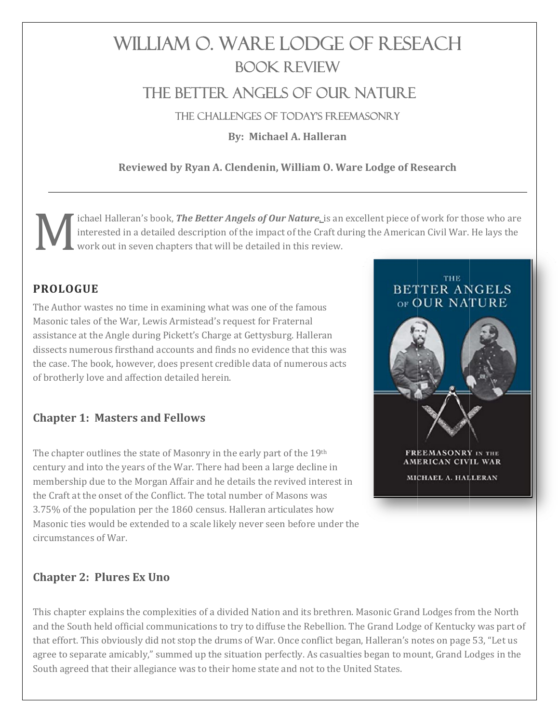# WILLIAM O. WARE LODGE OF RESEACH **BOOK REVIEW** THE BETTER ANGELS OF OUR NATURE

THE CHALLENGES OF TODAY'S FREEMASONRY

**By: Michael A. Halleran** 

# Reviewed by Ryan A. Clendenin, William O. Ware Lodge of Research

ichael Halleran's book, The Better Angels of Our Nature, is an excellent piece of work for those who are interested in a detailed description of the impact of the Craft during the American Civil War. He lays the work out in seven chapters that will be detailed in this review.

## **PROLOGUE**

The Author wastes no time in examining what was one of the famous Masonic tales of the War, Lewis Armistead's request for Fraternal assistance at the Angle during Pickett's Charge at Gettysburg. Halleran dissects numerous firsthand accounts and finds no evidence that this was the case. The book, however, does present credible data of numerous acts of brotherly love and affection detailed herein.

## **Chapter 1: Masters and Fellows**

The chapter outlines the state of Masonry in the early part of the 19th century and into the years of the War. There had been a large decline in membership due to the Morgan Affair and he details the revived interest in the Craft at the onset of the Conflict. The total number of Masons was 3.75% of the population per the 1860 census. Halleran articulates how Masonic ties would be extended to a scale likely never seen before under the circumstances of War.

# **THE BETTER ANGELS** OF OUR NATURE FREEMASONRY IN THE AMERICAN CIVIL WAR MICHAEL A. HALLERAN

#### **Chapter 2: Plures Ex Uno**

This chapter explains the complexities of a divided Nation and its brethren. Masonic Grand Lodges from the North and the South held official communications to try to diffuse the Rebellion. The Grand Lodge of Kentucky was part of that effort. This obviously did not stop the drums of War. Once conflict began, Halleran's notes on page 53, "Let us agree to separate amicably," summed up the situation perfectly. As casualties began to mount, Grand Lodges in the South agreed that their allegiance was to their home state and not to the United States.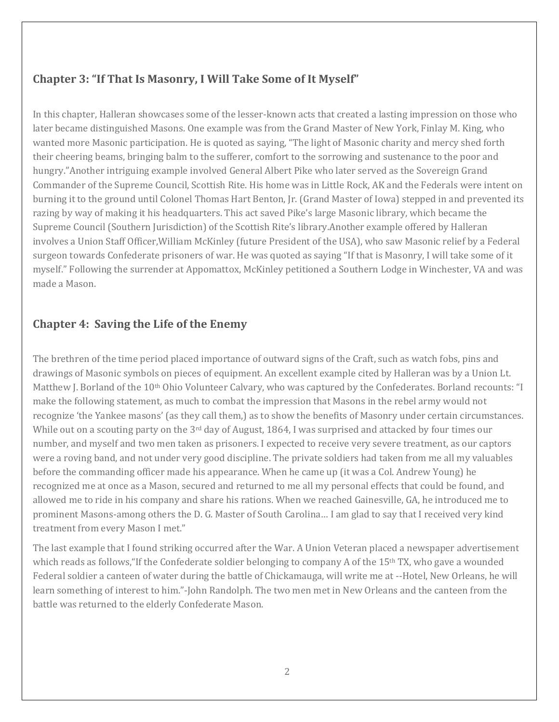# **Chapter 3: "If That Is Masonry, I Will Take Some of It Myself"**

In this chapter, Halleran showcases some of the lesser-known acts that created a lasting impression on those who later became distinguished Masons. One example was from the Grand Master of New York, Finlay M. King, who wanted more Masonic participation. He is quoted as saying, "The light of Masonic charity and mercy shed forth their cheering beams, bringing balm to the sufferer, comfort to the sorrowing and sustenance to the poor and hungry."Another intriguing example involved General Albert Pike who later served as the Sovereign Grand Commander of the Supreme Council, Scottish Rite. His home was in Little Rock, AK and the Federals were intent on burning it to the ground until Colonel Thomas Hart Benton, Jr. (Grand Master of Iowa) stepped in and prevented its razing by way of making it his headquarters. This act saved Pike's large Masonic library, which became the Supreme Council (Southern Jurisdiction) of the Scottish Rite's library.Another example offered by Halleran involves a Union Staff Officer,William McKinley (future President of the USA), who saw Masonic relief by a Federal surgeon towards Confederate prisoners of war. He was quoted as saying "If that is Masonry, I will take some of it myself." Following the surrender at Appomattox, McKinley petitioned a Southern Lodge in Winchester, VA and was made a Mason.

#### **Chapter 4: Saving the Life of the Enemy**

The brethren of the time period placed importance of outward signs of the Craft, such as watch fobs, pins and drawings of Masonic symbols on pieces of equipment. An excellent example cited by Halleran was by a Union Lt. Matthew J. Borland of the 10<sup>th</sup> Ohio Volunteer Calvary, who was captured by the Confederates. Borland recounts: "I make the following statement, as much to combat the impression that Masons in the rebel army would not recognize 'the Yankee masons' (as they call them,) as to show the benefits of Masonry under certain circumstances. While out on a scouting party on the  $3<sup>rd</sup>$  day of August, 1864, I was surprised and attacked by four times our number, and myself and two men taken as prisoners. I expected to receive very severe treatment, as our captors were a roving band, and not under very good discipline. The private soldiers had taken from me all my valuables before the commanding officer made his appearance. When he came up (it was a Col. Andrew Young) he recognized me at once as a Mason, secured and returned to me all my personal effects that could be found, and allowed me to ride in his company and share his rations. When we reached Gainesville, GA, he introduced me to prominent Masons-among others the D. G. Master of South Carolina… I am glad to say that I received very kind treatment from every Mason I met."

The last example that I found striking occurred after the War. A Union Veteran placed a newspaper advertisement which reads as follows, "If the Confederate soldier belonging to company A of the 15<sup>th</sup> TX, who gave a wounded Federal soldier a canteen of water during the battle of Chickamauga, will write me at --Hotel, New Orleans, he will learn something of interest to him."-John Randolph. The two men met in New Orleans and the canteen from the battle was returned to the elderly Confederate Mason.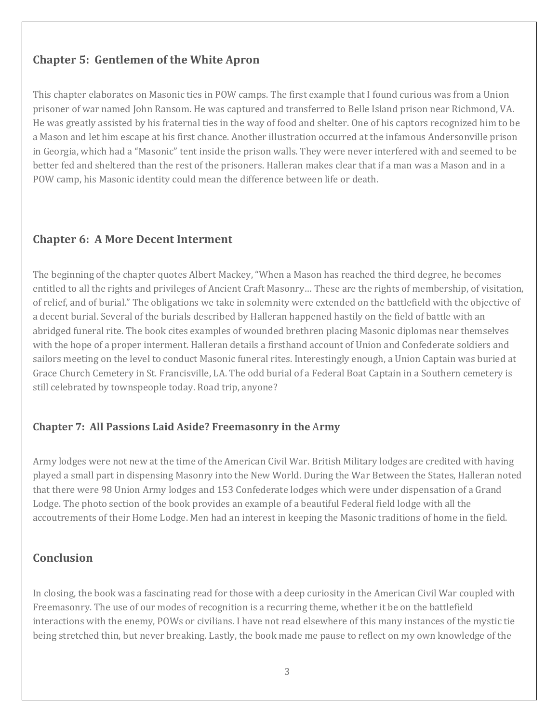## **Chapter 5: Gentlemen of the White Apron**

This chapter elaborates on Masonic ties in POW camps. The first example that I found curious was from a Union prisoner of war named John Ransom. He was captured and transferred to Belle Island prison near Richmond, VA. He was greatly assisted by his fraternal ties in the way of food and shelter. One of his captors recognized him to be a Mason and let him escape at his first chance. Another illustration occurred at the infamous Andersonville prison in Georgia, which had a "Masonic" tent inside the prison walls. They were never interfered with and seemed to be better fed and sheltered than the rest of the prisoners. Halleran makes clear that if a man was a Mason and in a POW camp, his Masonic identity could mean the difference between life or death.

#### **Chapter 6: A More Decent Interment**

The beginning of the chapter quotes Albert Mackey, "When a Mason has reached the third degree, he becomes entitled to all the rights and privileges of Ancient Craft Masonry… These are the rights of membership, of visitation, of relief, and of burial." The obligations we take in solemnity were extended on the battlefield with the objective of a decent burial. Several of the burials described by Halleran happened hastily on the field of battle with an abridged funeral rite. The book cites examples of wounded brethren placing Masonic diplomas near themselves with the hope of a proper interment. Halleran details a firsthand account of Union and Confederate soldiers and sailors meeting on the level to conduct Masonic funeral rites. Interestingly enough, a Union Captain was buried at Grace Church Cemetery in St. Francisville, LA. The odd burial of a Federal Boat Captain in a Southern cemetery is still celebrated by townspeople today. Road trip, anyone?

#### **Chapter 7: All Passions Laid Aside? Freemasonry in the** A**rmy**

Army lodges were not new at the time of the American Civil War. British Military lodges are credited with having played a small part in dispensing Masonry into the New World. During the War Between the States, Halleran noted that there were 98 Union Army lodges and 153 Confederate lodges which were under dispensation of a Grand Lodge. The photo section of the book provides an example of a beautiful Federal field lodge with all the accoutrements of their Home Lodge. Men had an interest in keeping the Masonic traditions of home in the field.

## **Conclusion**

In closing, the book was a fascinating read for those with a deep curiosity in the American Civil War coupled with Freemasonry. The use of our modes of recognition is a recurring theme, whether it be on the battlefield interactions with the enemy, POWs or civilians. I have not read elsewhere of this many instances of the mystic tie being stretched thin, but never breaking. Lastly, the book made me pause to reflect on my own knowledge of the